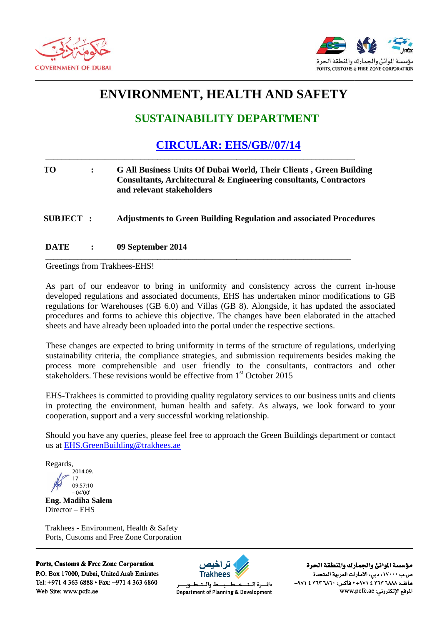



# **ENVIRONMENT, HEALTH AND SAFETY**

# **SUSTAINABILITY DEPARTMENT**

**CIRCULAR: EHS/GB//07/14** 

### **TO**  $\ddot{\cdot}$ G All Business Units Of Dubai World, Their Clients, Green Building Consultants, Architectural & Engineering consultants, Contractors and relevant stakeholders

### **Adjustments to Green Building Regulation and associated Procedures** SUBJECT:

#### **DATE** 09 September 2014  $\ddot{\cdot}$

Greetings from Trakhees-EHS!

As part of our endeavor to bring in uniformity and consistency across the current in-house developed regulations and associated documents, EHS has undertaken minor modifications to GB regulations for Warehouses (GB 6.0) and Villas (GB 8). Alongside, it has updated the associated procedures and forms to achieve this objective. The changes have been elaborated in the attached sheets and have already been uploaded into the portal under the respective sections.

These changes are expected to bring uniformity in terms of the structure of regulations, underlying sustainability criteria, the compliance strategies, and submission requirements besides making the process more comprehensible and user friendly to the consultants, contractors and other stakeholders. These revisions would be effective from 1<sup>st</sup> October 2015

EHS-Trakhees is committed to providing quality regulatory services to our business units and clients in protecting the environment, human health and safety. As always, we look forward to your cooperation, support and a very successful working relationship.

Should you have any queries, please feel free to approach the Green Buildings department or contact us at EHS.GreenBuilding@trakhees.ae

Regards.

2014.09  $17$ 09:57:10  $+04'00'$ 

**Eng. Madiha Salem** Director - EHS

Trakhees - Environment, Health & Safety Ports, Customs and Free Zone Corporation

Ports, Customs & Free Zone Corporation P.O. Box 17000, Dubai, United Arab Emirates Tel: +971 4 363 6888 • Fax: +971 4 363 6860 Web Site: www.pcfc.ae



ط والت Department of Planning & Development

مؤسسة الموانئ والجمارك والنطقة الحرة ص.ب ١٧٠٠٠، دبي، الأمارات العربية المتحدة هاتف: ١٨٨٨- ٢٦٣ ٤ ٩٧١+ • هاكس: ٢٦٨٠- ٢٦٣ ٤ ٩٧١+ الموقع الإلكتروني: www.pcfc.ae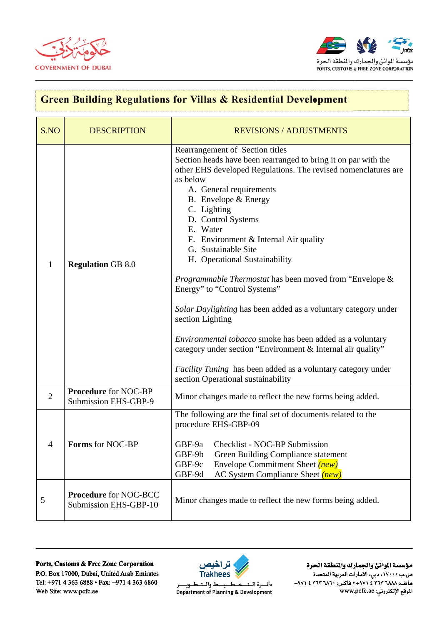



## **Green Building Regulations for Villas & Residential Development**  $S.NO$ **DESCRIPTION REVISIONS / ADJUSTMENTS** Rearrangement of Section titles Section heads have been rearranged to bring it on par with the other EHS developed Regulations. The revised nomenclatures are as below A. General requirements B. Envelope  $&$  Energy C. Lighting D. Control Systems E. Water F. Environment & Internal Air quality G. Sustainable Site H. Operational Sustainability  $\mathbf{1}$ **Regulation GB 8.0** Programmable Thermostat has been moved from "Envelope & Energy" to "Control Systems" Solar Daylighting has been added as a voluntary category under section Lighting *Environmental tobacco* smoke has been added as a voluntary category under section "Environment & Internal air quality" Facility Tuning has been added as a voluntary category under section Operational sustainability **Procedure** for NOC-BP  $\overline{2}$ Minor changes made to reflect the new forms being added. **Submission EHS-GBP-9** The following are the final set of documents related to the procedure EHS-GBP-09 Checklist - NOC-BP Submission **Forms for NOC-BP**  $\overline{\mathcal{A}}$  $GBF-9a$  $GBF-9h$ **Green Building Compliance statement**  $GBF-9c$ Envelope Commitment Sheet *(new)* GBF-9d **AC System Compliance Sheet** (new) **Procedure for NOC-BCC** 5 Minor changes made to reflect the new forms being added. Submission EHS-GBP-10

## Ports, Customs & Free Zone Corporation P.O. Box 17000, Dubai, United Arab Emirates Tel: +971 4 363 6888 • Fax: +971 4 363 6860 Web Site: www.pcfc.ae



دائسرة البت **Department of Planning & Development** 

مؤسسة الموانئ والجمارك والمنطقة الحرة ص.ب ١٧٠٠٠، دبي، الأمارات العربية المتحدة هاتف: ٢٦٨٨ ٢٦٣ ٤ ٢٧١+ • هاكس: ٢٦٨٠ ٢ ٣٦٣ ٤ ٢٩٧١ الموقع الإلكتروني: www.pcfc.ae